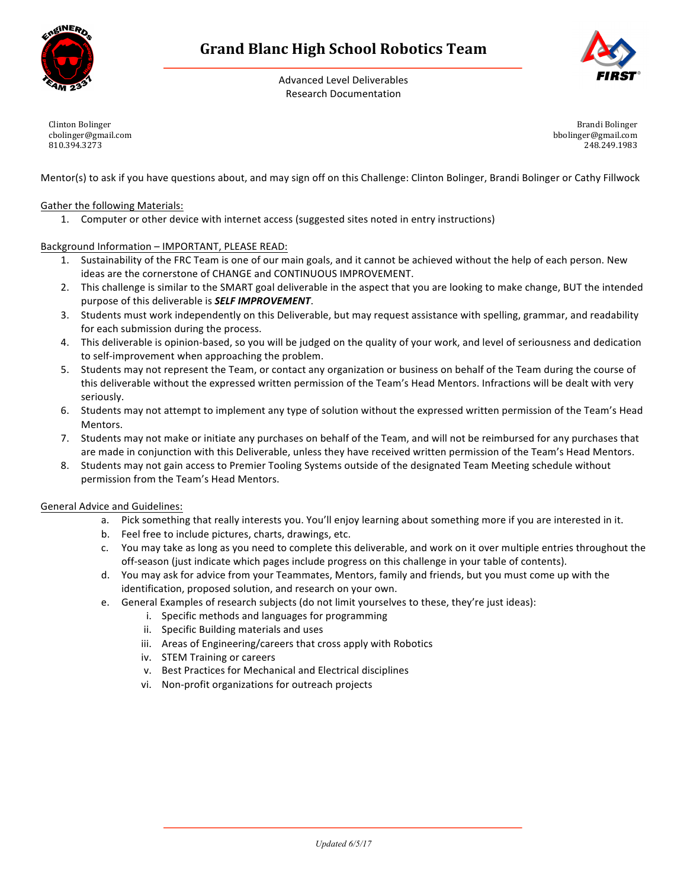

Advanced Level Deliverables Research Documentation



Clinton Bolinger cbolinger@gmail.com 810.394.3273

Brandi Bolinger bbolinger@gmail.com 248.249.1983

Mentor(s) to ask if you have questions about, and may sign off on this Challenge: Clinton Bolinger, Brandi Bolinger or Cathy Fillwock

## Gather the following Materials:

1. Computer or other device with internet access (suggested sites noted in entry instructions)

## Background Information - IMPORTANT, PLEASE READ:

- 1. Sustainability of the FRC Team is one of our main goals, and it cannot be achieved without the help of each person. New ideas are the cornerstone of CHANGE and CONTINUOUS IMPROVEMENT.
- 2. This challenge is similar to the SMART goal deliverable in the aspect that you are looking to make change, BUT the intended purpose of this deliverable is **SELF IMPROVEMENT**.
- 3. Students must work independently on this Deliverable, but may request assistance with spelling, grammar, and readability for each submission during the process.
- 4. This deliverable is opinion-based, so you will be judged on the quality of your work, and level of seriousness and dedication to self-improvement when approaching the problem.
- 5. Students may not represent the Team, or contact any organization or business on behalf of the Team during the course of this deliverable without the expressed written permission of the Team's Head Mentors. Infractions will be dealt with very seriously.
- 6. Students may not attempt to implement any type of solution without the expressed written permission of the Team's Head Mentors.
- 7. Students may not make or initiate any purchases on behalf of the Team, and will not be reimbursed for any purchases that are made in conjunction with this Deliverable, unless they have received written permission of the Team's Head Mentors.
- 8. Students may not gain access to Premier Tooling Systems outside of the designated Team Meeting schedule without permission from the Team's Head Mentors.

### General Advice and Guidelines:

- a. Pick something that really interests you. You'll enjoy learning about something more if you are interested in it.
- b. Feel free to include pictures, charts, drawings, etc.
- c. You may take as long as you need to complete this deliverable, and work on it over multiple entries throughout the off-season (just indicate which pages include progress on this challenge in your table of contents).
- d. You may ask for advice from your Teammates, Mentors, family and friends, but you must come up with the identification, proposed solution, and research on your own.
- e. General Examples of research subjects (do not limit yourselves to these, they're just ideas):
	- i. Specific methods and languages for programming
	- ii. Specific Building materials and uses
	- iii. Areas of Engineering/careers that cross apply with Robotics
	- iv. STEM Training or careers
	- v. Best Practices for Mechanical and Electrical disciplines
	- vi. Non-profit organizations for outreach projects